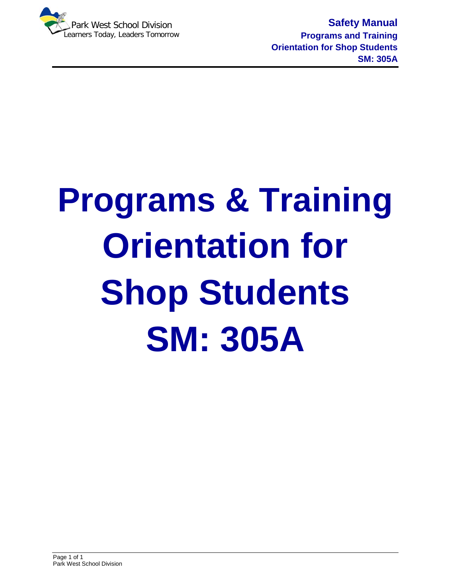

**Safety Manual Programs and Training Orientation for Shop Students SM: 305A**

# **Programs & Training Orientation for Shop Students SM: 305A**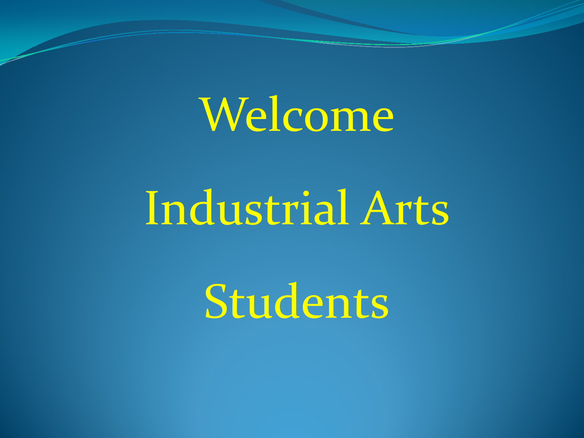## Welcome

## Industrial Arts

Students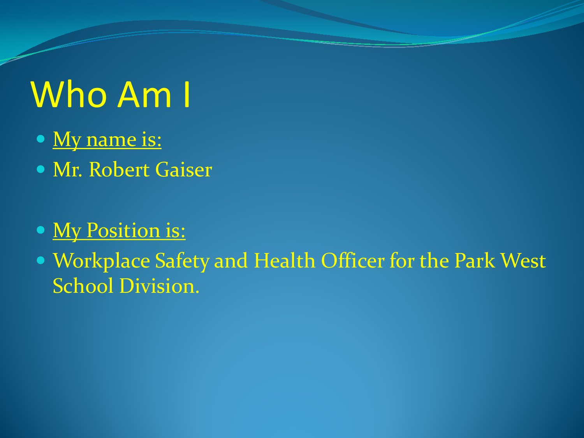#### Who Am I

- My name is:
- $\overline{\bullet}$  Mr. Robert Gaiser
- My Position is:
- Workplace Safety and Health Officer for the Park West School Division.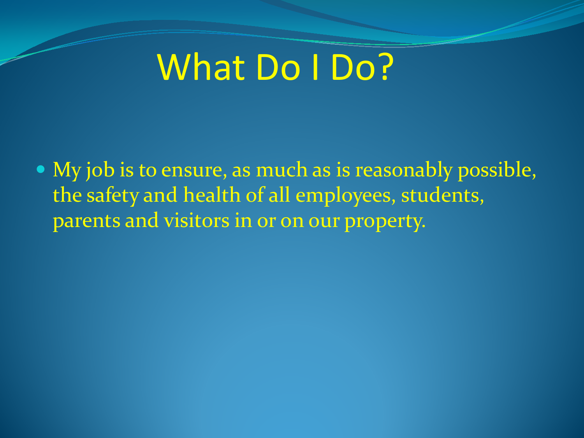#### What Do I Do?

 My job is to ensure, as much as is reasonably possible, the safety and health of all employees, students, parents and visitors in or on our property.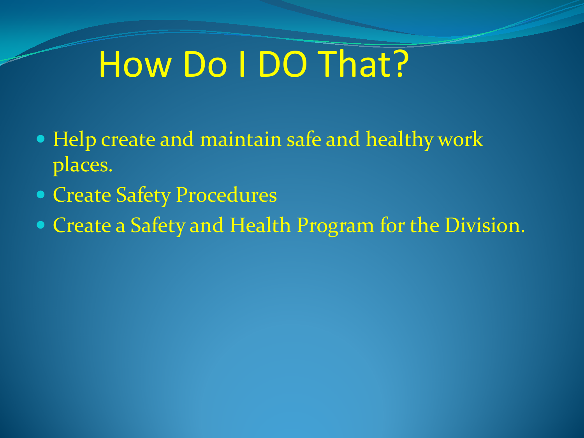#### How Do I DO That?

- Help create and maintain safe and healthy work places.
- Create Safety Procedures
- Create a Safety and Health Program for the Division.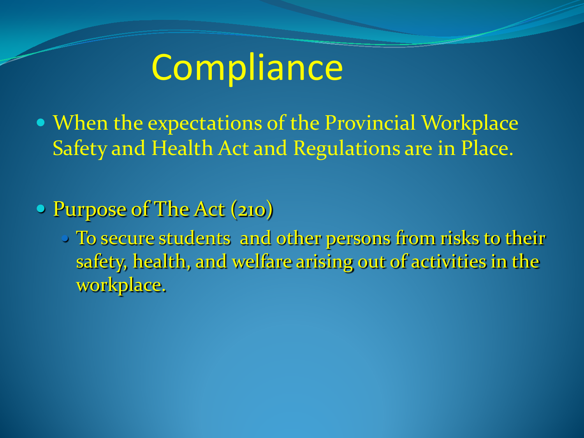#### **Compliance**

 When the expectations of the Provincial Workplace Safety and Health Act and Regulations are in Place.

#### • Purpose of The Act (210)

o To secure students and other persons from risks to their safety, health, and welfare arising out of activities in the workplace.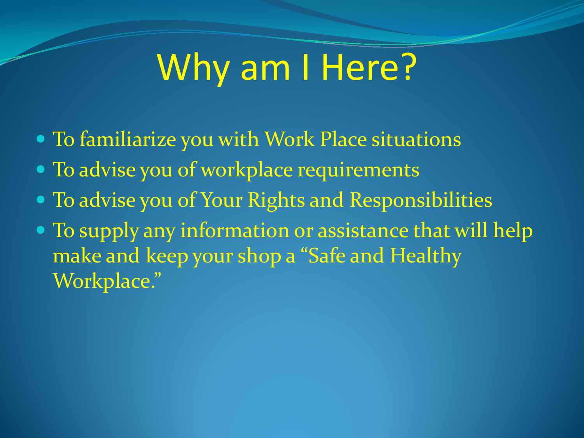#### Why am I Here?

- To familiarize you with Work Place situations
- To advise you of workplace requirements
- To advise you of Your Rights and Responsibilities
- To supply any information or assistance that will help make and keep your shop a "Safe and Healthy Workplace."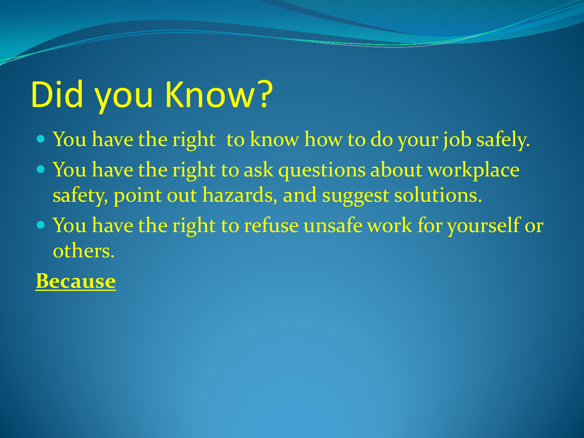### Did you Know?

- You have the right to know how to do your job safely.
- You have the right to ask questions about workplace safety, point out hazards, and suggest solutions.
- You have the right to refuse unsafe work for yourself or others.

**Because**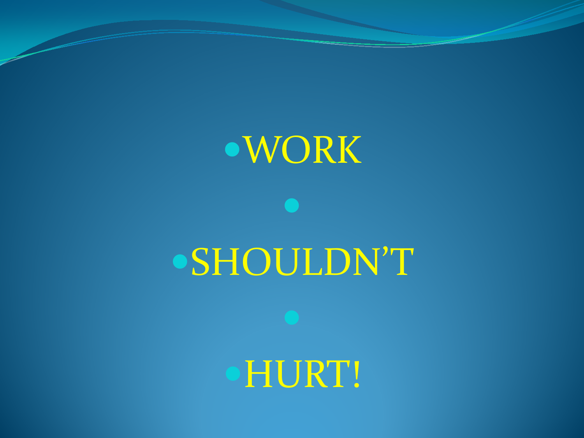

## SHOULDN'T

**. HURT!**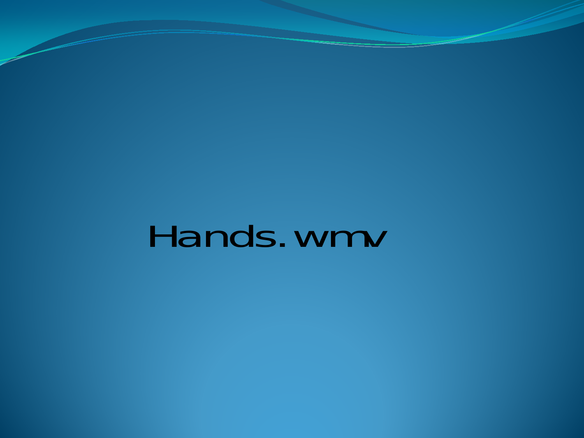#### Hands.wmv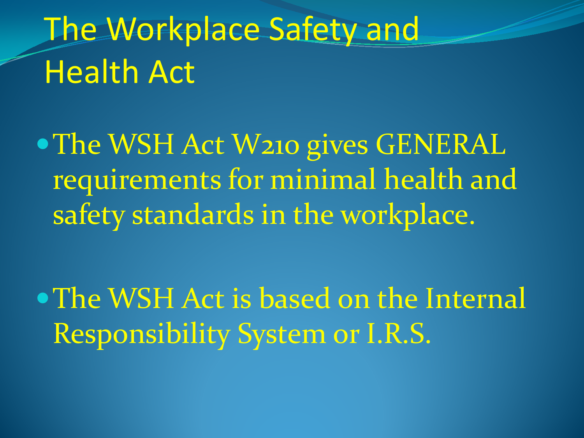#### The Workplace Safety and Health Act

• The WSH Act W210 gives GENERAL requirements for minimal health and safety standards in the workplace.

• The WSH Act is based on the Internal Responsibility System or I.R.S.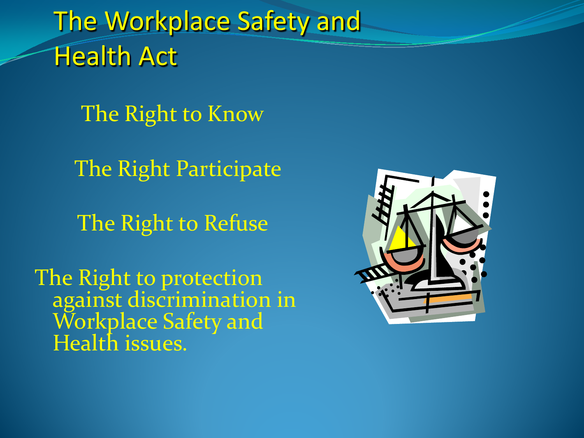The Workplace Safety and Health Act

The Right to Know

The Right Participate

The Right to Refuse

The Right to protection against discrimination in Workplace Safety and Health issues.

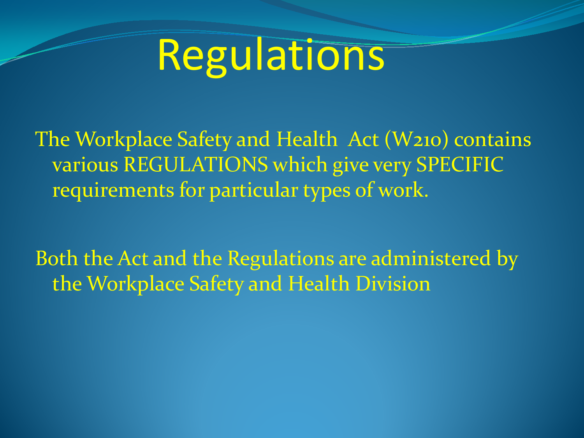## Regulations

The Workplace Safety and Health Act (W210) contains various REGULATIONS which give very SPECIFIC requirements for particular types of work.

Both the Act and the Regulations are administered by the Workplace Safety and Health Division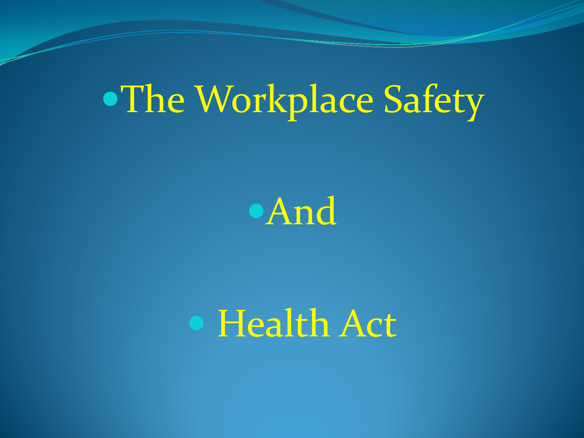### The Workplace Safety

#### And

#### Health Act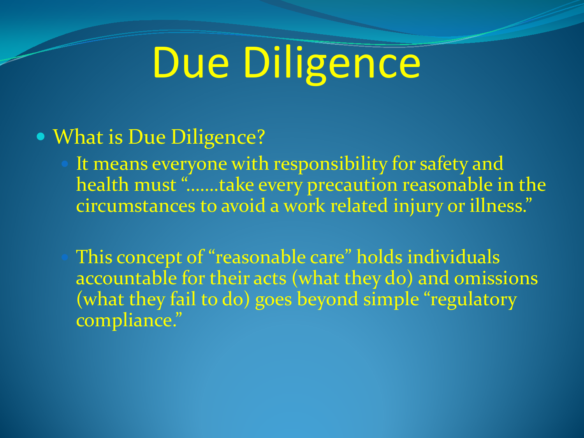#### • What is Due Diligence?

- It means everyone with responsibility for safety and health must "…….take every precaution reasonable in the circumstances to avoid a work related injury or illness."
- This concept of "reasonable care" holds individuals accountable for their acts (what they do) and omissions (what they fail to do) goes beyond simple "regulatory compliance."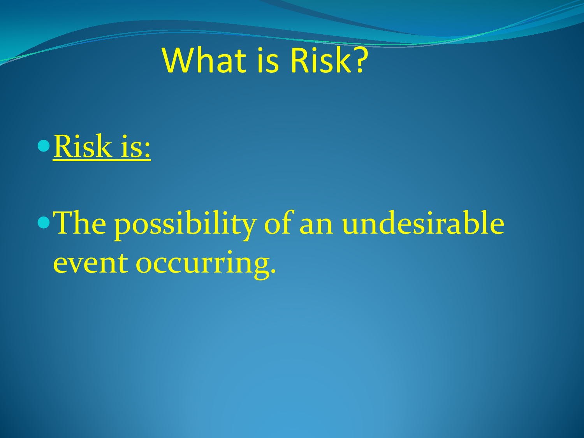#### What is Risk?



#### The possibility of an undesirable event occurring.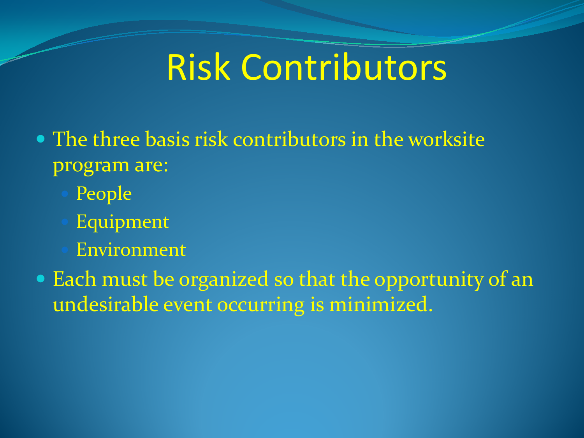#### Risk Contributors

- The three basis risk contributors in the worksite program are:
	- People
	- Equipment
	- Environment
- Each must be organized so that the opportunity of an undesirable event occurring is minimized.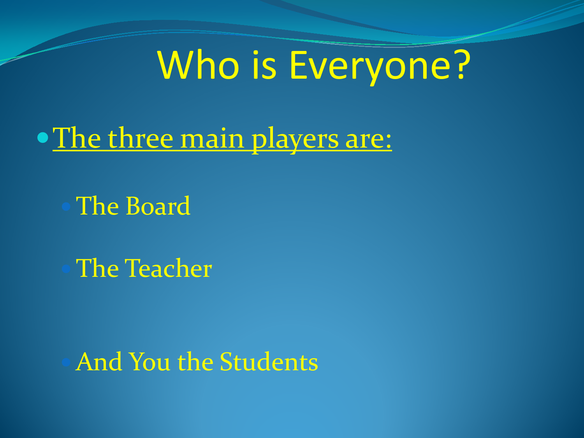### Who is Everyone?

#### **• The three main players are:**

The Board

The Teacher

And You the Students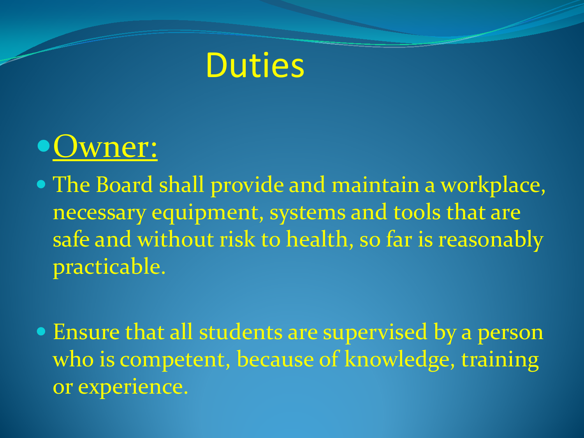#### **Duties**

#### wner:

- The Board shall provide and maintain a workplace, necessary equipment, systems and tools that are safe and without risk to health, so far is reasonably practicable.
- Ensure that all students are supervised by a person who is competent, because of knowledge, training or experience.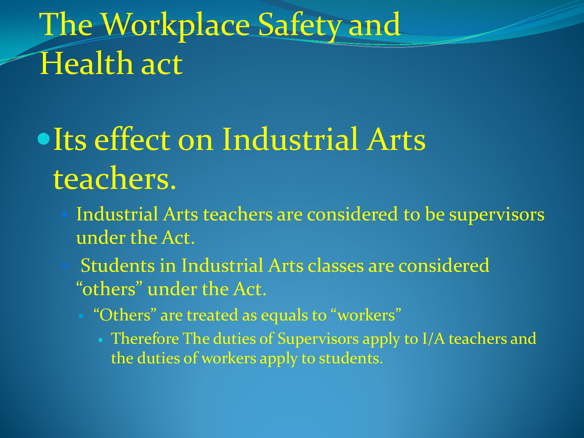#### The Workplace Safety and Health act

#### **. Its effect on Industrial Arts** teachers.

- Industrial Arts teachers are considered to be supervisors under the Act.
- Students in Industrial Arts classes are considered "others" under the Act.
	- "Others" are treated as equals to "workers"
		- Therefore The duties of Supervisors apply to I/A teachers and the duties of workers apply to students.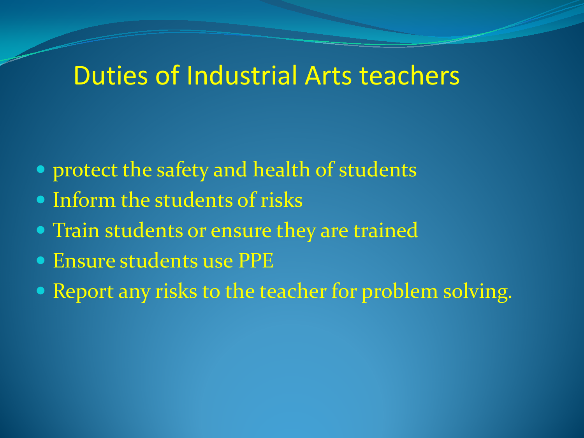#### Duties of Industrial Arts teachers

- protect the safety and health of students
- Inform the students of risks
- Train students or ensure they are trained
- Ensure students use PPE
- Report any risks to the teacher for problem solving.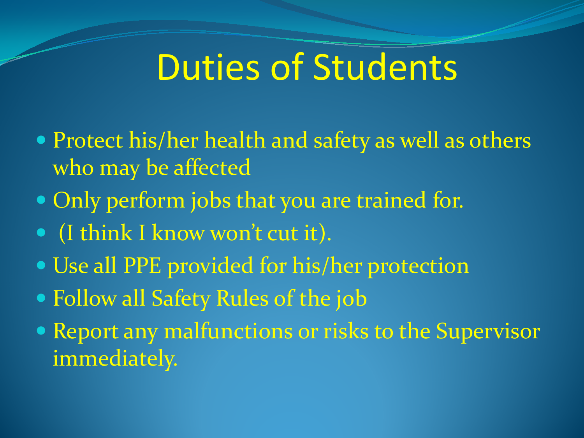#### Duties of Students

- Protect his/her health and safety as well as others who may be affected
- Only perform jobs that you are trained for.
- (I think I know won't cut it).
- Use all PPE provided for his/her protection
- Follow all Safety Rules of the job
- Report any malfunctions or risks to the Supervisor immediately.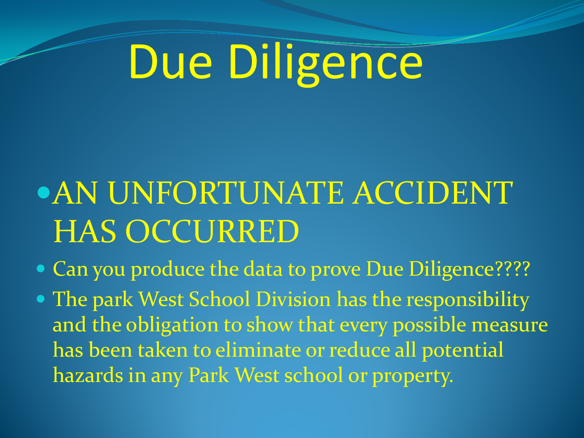#### AN UNFORTUNATE ACCIDENT HAS OCCURRED

- Can you produce the data to prove Due Diligence????
- The park West School Division has the responsibility and the obligation to show that every possible measure has been taken to eliminate or reduce all potential hazards in any Park West school or property.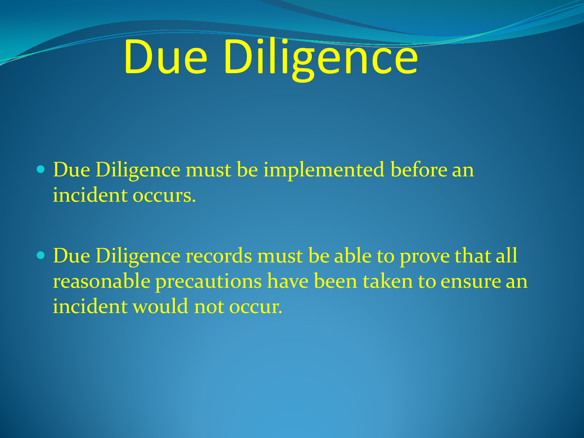- Due Diligence must be implemented before an incident occurs.
- Due Diligence records must be able to prove that all reasonable precautions have been taken to ensure an incident would not occur.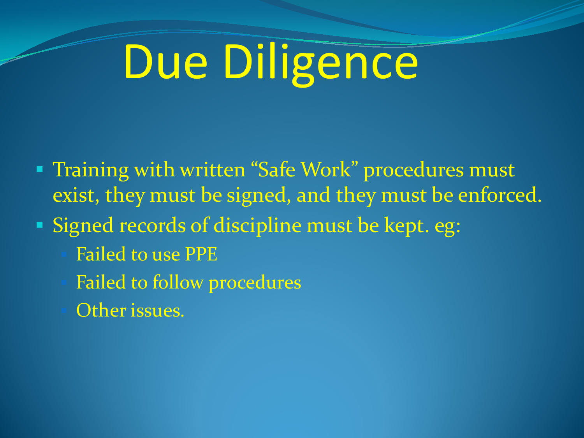- **Training with written "Safe Work" procedures must** exist, they must be signed, and they must be enforced.
- Signed records of discipline must be kept. eg:
	- Failed to use PPE
	- Failed to follow procedures
	- Other issues.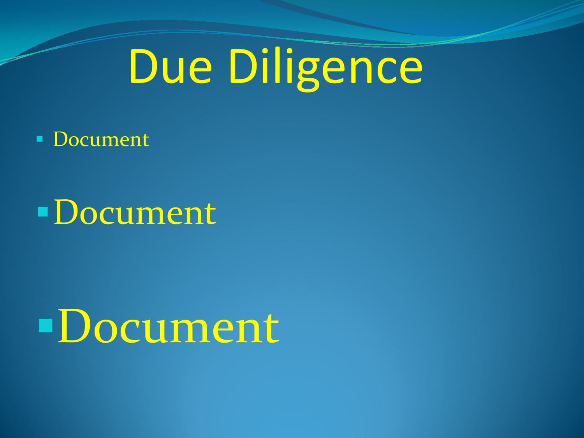**Document** 

#### Document

# Document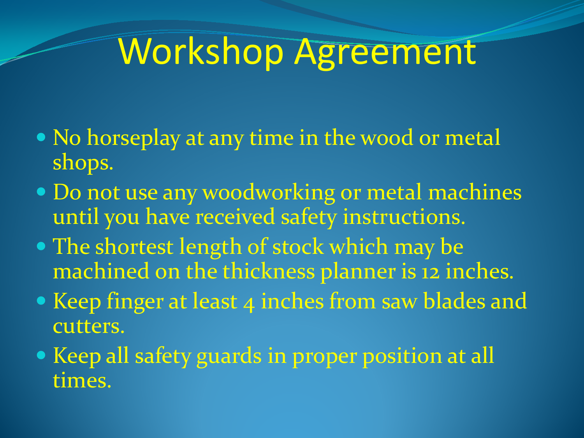#### Workshop Agreement

- No horseplay at any time in the wood or metal shops.
- Do not use any woodworking or metal machines until you have received safety instructions.
- The shortest length of stock which may be machined on the thickness planner is 12 inches.
- Keep finger at least 4 inches from saw blades and cutters.
- Keep all safety guards in proper position at all times.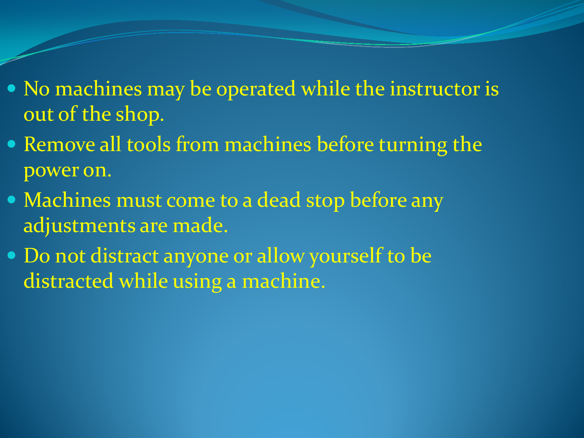- No machines may be operated while the instructor is out of the shop.
- Remove all tools from machines before turning the power on.
- Machines must come to a dead stop before any adjustments are made.
- Do not distract anyone or allow yourself to be distracted while using a machine.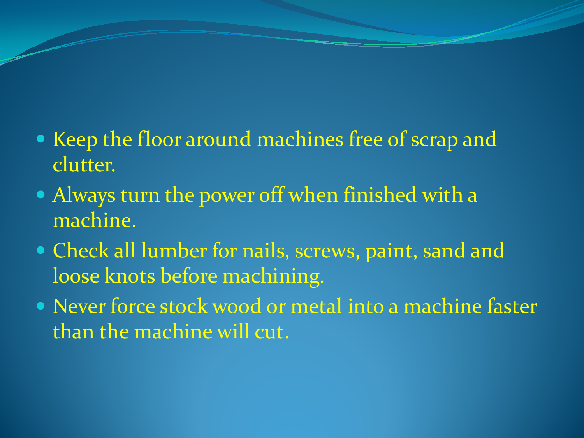- Keep the floor around machines free of scrap and clutter.
- Always turn the power off when finished with a machine.
- Check all lumber for nails, screws, paint, sand and loose knots before machining.
- Never force stock wood or metal into a machine faster than the machine will cut.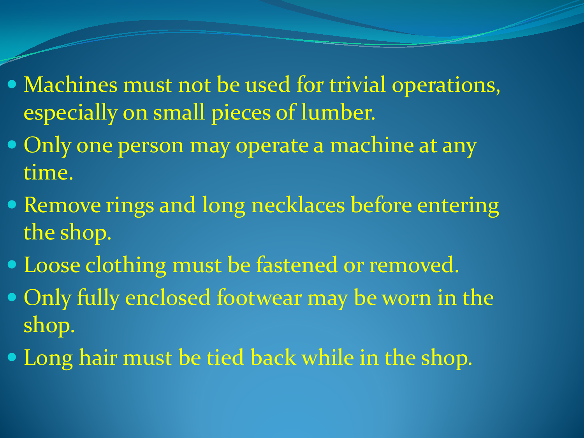- Machines must not be used for trivial operations, especially on small pieces of lumber.
- Only one person may operate a machine at any time.
- Remove rings and long necklaces before entering the shop.
- Loose clothing must be fastened or removed.
- Only fully enclosed footwear may be worn in the shop.
- Long hair must be tied back while in the shop.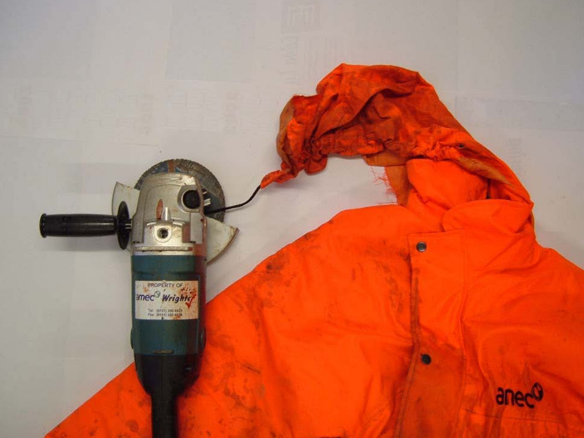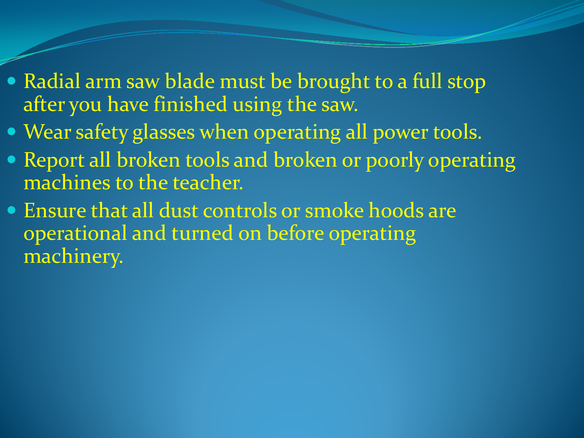- Radial arm saw blade must be brought to a full stop after you have finished using the saw.
- Wear safety glasses when operating all power tools.
- Report all broken tools and broken or poorly operating machines to the teacher.
- Ensure that all dust controls or smoke hoods are operational and turned on before operating machinery.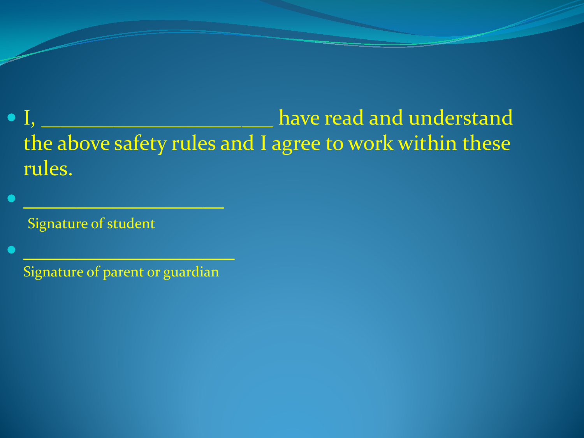have read and understand the above safety rules and I agree to work within these rules.

Signature of student

Signature of parent or guardian

\_\_\_\_\_\_\_\_\_\_\_\_\_\_\_\_\_\_\_\_

 $\bullet$   $\overline{\phantom{a}}$   $\overline{\phantom{a}}$   $\overline{\phantom{a}}$   $\overline{\phantom{a}}$   $\overline{\phantom{a}}$   $\overline{\phantom{a}}$   $\overline{\phantom{a}}$   $\overline{\phantom{a}}$   $\overline{\phantom{a}}$   $\overline{\phantom{a}}$   $\overline{\phantom{a}}$   $\overline{\phantom{a}}$   $\overline{\phantom{a}}$   $\overline{\phantom{a}}$   $\overline{\phantom{a}}$   $\overline{\phantom{a}}$   $\overline{\phantom{a}}$   $\overline{\phantom{a}}$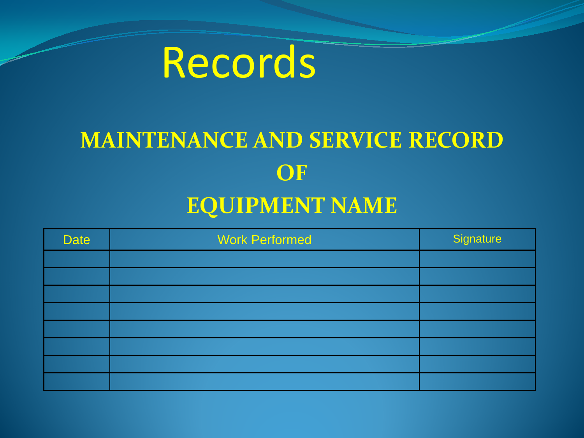

#### **MAINTENANCE AND SERVICE RECORD OF EQUIPMENT NAME**

| <b>Date</b> | <b>Work Performed</b> | Signature |
|-------------|-----------------------|-----------|
|             |                       |           |
|             |                       |           |
|             |                       |           |
|             |                       |           |
|             |                       |           |
|             |                       |           |
|             |                       |           |
|             |                       |           |